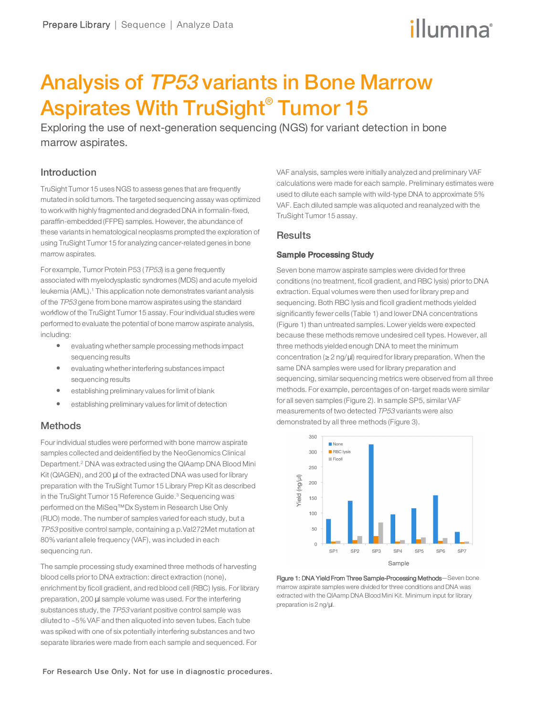# illumına

# Analysis of TP53 variants in Bone Marrow Aspirates With TruSight® Tumor 15

Exploring the use of next-generation sequencing (NGS) for variant detection in bone marrow aspirates.

### Introduction

TruSight Tumor 15 uses NGS to assess genes that are frequently mutated in solid tumors. The targeted sequencing assay was optimized to work with highly fragmented and degraded DNA in formalin-fixed, paraffin-embedded (FFPE) samples. However, the abundance of these variants in hematological neoplasms prompted the exploration of using TruSight Tumor 15 for analyzing cancer-related genes in bone marrow aspirates.

For example, Tumor Protein P53 (TP53) is a gene frequently associated with myelodysplastic syndromes (MDS) and acute myeloid leukemia (AML).<sup>1</sup> This application note demonstrates variant analysis of the TP53 gene from bone marrow aspirates using the standard workflow of the TruSight Tumor 15 assay. Fourindividual studies were performed to evaluate the potential of bone marrow aspirate analysis, including:

- $\bullet$  evaluating whether sample processing methods impact sequencing results
- evaluating whether interfering substances impact sequencing results
- $\bullet$  establishing preliminary values for limit of blank
- **•** establishing preliminary values for limit of detection

# **Methods**

Four individual studies were performed with bone marrow aspirate samples collected and deidentified by the NeoGenomics Clinical Department.<sup>2</sup> DNA was extracted using the QIAamp DNA Blood Mini Kit (QIAGEN), and 200 µl of the extracted DNA was used for library preparation with the TruSight Tumor 15 Library Prep Kit as described in the TruSight Tumor 15 Reference Guide.<sup>3</sup> Sequencing was performed on the MiSeq™Dx System in Research Use Only (RUO) mode. The number of samples varied for each study, but a TP53 positive control sample, containing a p.Val272Met mutation at 80% variant allele frequency (VAF), was included in each sequencing run.

The sample processing study examined three methods of harvesting blood cells prior to DNA extraction: direct extraction (none), enrichment by ficoll gradient, and red blood cell (RBC) lysis. For library preparation, 200 µl sample volume was used. For the interfering substances study, the TP53 variant positive control sample was diluted to ~5% VAF and then aliquoted into seven tubes. Each tube was spiked with one of six potentially interfering substances and two separate libraries were made from each sample and sequenced. For

VAF analysis, samples were initially analyzed and preliminary VAF calculations were made for each sample. Preliminary estimates were used to dilute each sample with wild-type DNA to approximate 5% VAF. Each diluted sample was aliquoted and reanalyzed with the TruSight Tumor 15 assay.

### **Results**

#### Sample Processing Study

Seven bone marrow aspirate samples were divided for three conditions (no treatment, ficoll gradient, and RBC lysis) prior to DNA extraction. Equal volumes were then used for library prep and sequencing. Both RBC lysis and ficoll gradient methods yielded significantly fewer cells (Table 1) and lower DNA concentrations (Figure 1) than untreated samples. Lower yields were expected because these methods remove undesired cell types. However, all three methods yielded enough DNA to meet the minimum concentration (≥ 2 ng/µl) required for library preparation. When the same DNA samples were used for library preparation and sequencing, similar sequencing metrics were observed from all three methods. For example, percentages of on-target reads were similar for all seven samples (Figure 2). In sample SP5, similar VAF measurements of two detected TP53 variants were also demonstrated by all three methods (Figure 3).



Figure 1: DNA Yield From Three Sample-Processing Methods—Seven bone marrow aspirate samples were divided for three conditions and DNA was extracted with the QIAamp DNA Blood Mini Kit. Minimum input for library preparation is 2 ng/µl.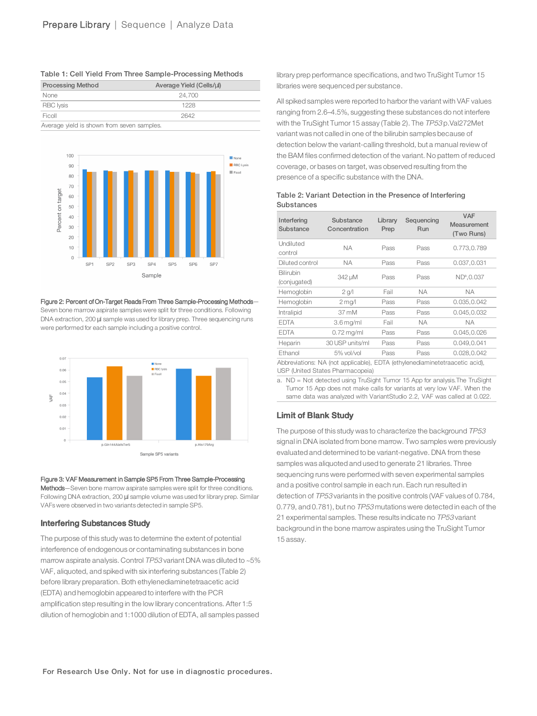| <b>Processing Method</b>                   | Average Yield (Cells/ul) |  |  |  |
|--------------------------------------------|--------------------------|--|--|--|
| None                                       | 24.700                   |  |  |  |
| <b>RBC</b> Iysis                           | 1228                     |  |  |  |
| Ficoll                                     | 2642                     |  |  |  |
| Average yield is shown from seven samples. |                          |  |  |  |





#### Figure 2: Percent of On-Target Reads From Three Sample-Processing Methods—

Seven bone marrow aspirate samples were split for three conditions. Following DNA extraction, 200 µl sample was used for library prep. Three sequencing runs were performed for each sample including a positive control.



#### Figure 3: VAF Measurement in Sample SP5 From Three Sample-Processing

Methods-Seven bone marrow aspirate samples were split for three conditions. Following DNA extraction, 200 µl sample volume was used for library prep. Similar VAFs were observed in two variants detected in sample SP5.

### Interfering Substances Study

The purpose of this study was to determine the extent of potential interference of endogenous or contaminating substances in bone marrow aspirate analysis. Control TP53 variant DNA was diluted to ~5% VAF, aliquoted, and spiked with six interfering substances (Table 2) before library preparation. Both ethylenediaminetetraacetic acid (EDTA) and hemoglobin appeared to interfere with the PCR amplification step resulting in the low library concentrations. After 1:5 dilution of hemoglobin and 1:1000 dilution of EDTA, all samples passed

library prep performance specifications, and two TruSight Tumor 15 libraries were sequenced per substance.

All spiked samples were reported to harborthe variant with VAF values ranging from 2.6–4.5%, suggesting these substances do not interfere with the TruSight Tumor 15 assay (Table 2). The TP53 p.Val272Met variant was not called in one of the bilirubin samples because of detection below the variant-calling threshold, but a manual review of the BAM files confirmed detection of the variant. No pattern of reduced coverage, or bases on target, was observed resulting from the presence of a specific substance with the DNA.

Table 2: Variant Detection in the Presence of Interfering **Substances** 

| Interfering<br>Substance                                                    | Substance<br>Concentration | Library<br>Prep | Sequencing<br>Run | <b>VAF</b><br>Measurement<br>(Two Runs) |  |
|-----------------------------------------------------------------------------|----------------------------|-----------------|-------------------|-----------------------------------------|--|
| Undiluted<br>control                                                        | ΝA                         | Pass            | Pass              | 0.773,0.789                             |  |
| Diluted control                                                             | ΝA                         | Pass            | Pass              | 0.037,0.031                             |  |
| Bilirubin<br>(conjugated)                                                   | 342 µM                     | Pass            | Pass              | $ND^a$ , 0.037                          |  |
| Hemoglobin                                                                  | $2$ g/l                    | Fail            | <b>NA</b>         | <b>NA</b>                               |  |
| Hemoglobin                                                                  | $2 \,\mathrm{mag}/l$       | Pass            | Pass              | 0.035,0.042                             |  |
| Intralipid                                                                  | 37 mM                      | Pass            | Pass              | 0.045,0.032                             |  |
| <b>EDTA</b>                                                                 | $3.6$ mg/ml                | Fail            | NA.               | NA.                                     |  |
| <b>EDTA</b>                                                                 | $0.72$ mg/ml               | Pass            | Pass              | 0.045,0.026                             |  |
| Heparin                                                                     | 30 USP units/ml            | Pass            | Pass              | 0.049,0.041                             |  |
| Ethanol                                                                     | 5% vol/vol                 | Pass            | Pass              | 0.028,0.042                             |  |
| Abbreviations: NA (not applicable), EDTA (ethylenediaminetetraacetic acid), |                            |                 |                   |                                         |  |

USP (United States Pharmacopeia)

a. ND = Not detected using TruSight Tumor 15 App for analysis.The TruSight Tumor 15 App does not make calls for variants at very low VAF. When the same data was analyzed with VariantStudio 2.2, VAF was called at 0.022.

# Limit of Blank Study

The purpose of this study was to characterize the background TP53 signal in DNA isolated from bone marrow. Two samples were previously evaluated and determined to be variant-negative. DNA from these samples was aliquoted and used to generate 21 libraries. Three sequencing runs were performed with seven experimental samples and a positive control sample in each run. Each run resulted in detection of TP53 variants in the positive controls (VAF values of 0.784, 0.779, and 0.781), but no TP53 mutations were detected in each of the 21 experimental samples. These results indicate no TP53 variant background in the bone marrow aspirates using the TruSight Tumor 15 assay.